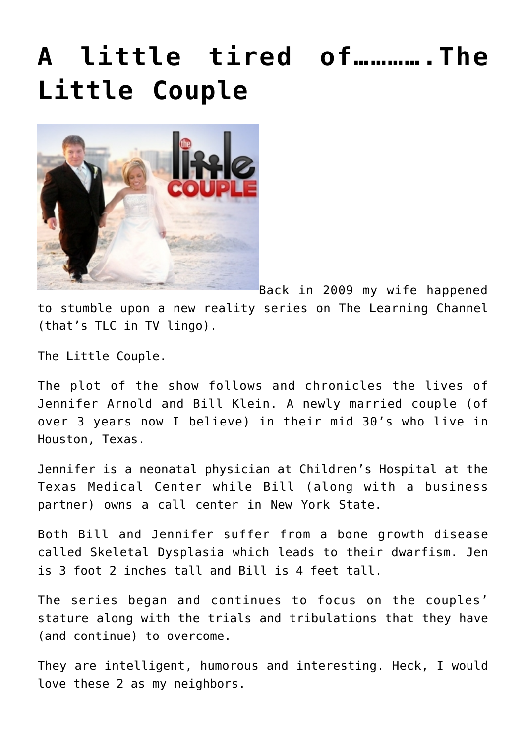## **[A little tired of………….The](https://bernardgoldberg.com/a-little-tired-of%e2%80%a6%e2%80%a6%e2%80%a6%e2%80%a6-the-little-couple/) [Little Couple](https://bernardgoldberg.com/a-little-tired-of%e2%80%a6%e2%80%a6%e2%80%a6%e2%80%a6-the-little-couple/)**



Back in 2009 my wife happened to stumble upon a new reality series on The Learning Channel (that's TLC in TV lingo).

The Little Couple.

The plot of the show follows and chronicles the lives of Jennifer Arnold and Bill Klein. A newly married couple (of over 3 years now I believe) in their mid 30's who live in Houston, Texas.

Jennifer is a neonatal physician at Children's Hospital at the Texas Medical Center while Bill (along with a business partner) owns a call center in New York State.

Both Bill and Jennifer suffer from a bone growth disease called Skeletal Dysplasia which leads to their dwarfism. Jen is 3 foot 2 inches tall and Bill is 4 feet tall.

The series began and continues to focus on the couples' stature along with the trials and tribulations that they have (and continue) to overcome.

They are intelligent, humorous and interesting. Heck, I would love these 2 as my neighbors.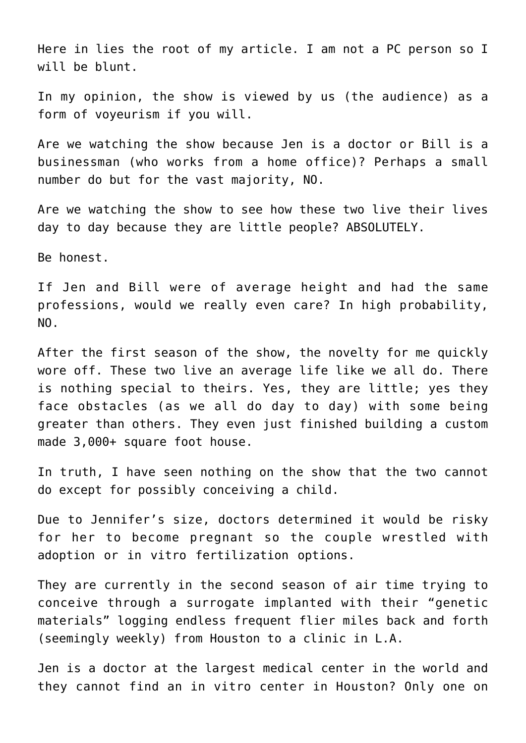Here in lies the root of my article. I am not a PC person so I will be blunt.

In my opinion, the show is viewed by us (the audience) as a form of voyeurism if you will.

Are we watching the show because Jen is a doctor or Bill is a businessman (who works from a home office)? Perhaps a small number do but for the vast majority, NO.

Are we watching the show to see how these two live their lives day to day because they are little people? ABSOLUTELY.

Be honest.

If Jen and Bill were of average height and had the same professions, would we really even care? In high probability, NO.

After the first season of the show, the novelty for me quickly wore off. These two live an average life like we all do. There is nothing special to theirs. Yes, they are little; yes they face obstacles (as we all do day to day) with some being greater than others. They even just finished building a custom made 3,000+ square foot house.

In truth, I have seen nothing on the show that the two cannot do except for possibly conceiving a child.

Due to Jennifer's size, doctors determined it would be risky for her to become pregnant so the couple wrestled with adoption or in vitro fertilization options.

They are currently in the second season of air time trying to conceive through a surrogate implanted with their "genetic materials" logging endless frequent flier miles back and forth (seemingly weekly) from Houston to a clinic in L.A.

Jen is a doctor at the largest medical center in the world and they cannot find an in vitro center in Houston? Only one on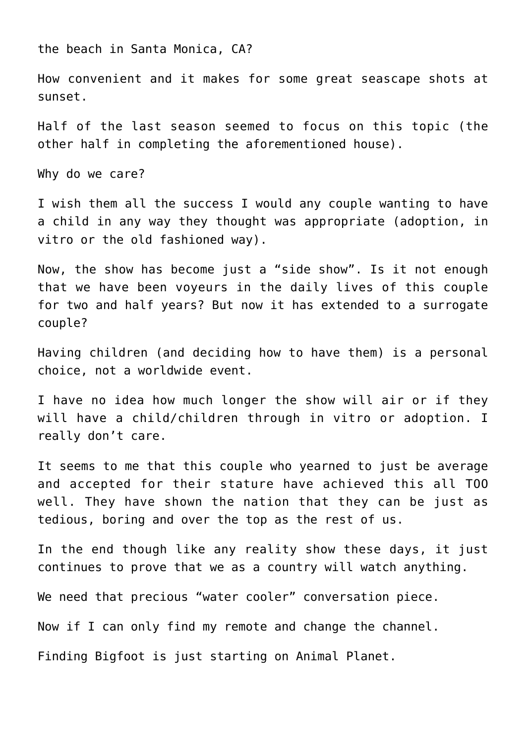the beach in Santa Monica, CA?

How convenient and it makes for some great seascape shots at sunset.

Half of the last season seemed to focus on this topic (the other half in completing the aforementioned house).

Why do we care?

I wish them all the success I would any couple wanting to have a child in any way they thought was appropriate (adoption, in vitro or the old fashioned way).

Now, the show has become just a "side show". Is it not enough that we have been voyeurs in the daily lives of this couple for two and half years? But now it has extended to a surrogate couple?

Having children (and deciding how to have them) is a personal choice, not a worldwide event.

I have no idea how much longer the show will air or if they will have a child/children through in vitro or adoption. I really don't care.

It seems to me that this couple who yearned to just be average and accepted for their stature have achieved this all TOO well. They have shown the nation that they can be just as tedious, boring and over the top as the rest of us.

In the end though like any reality show these days, it just continues to prove that we as a country will watch anything.

We need that precious "water cooler" conversation piece.

Now if I can only find my remote and change the channel.

Finding Bigfoot is just starting on Animal Planet.